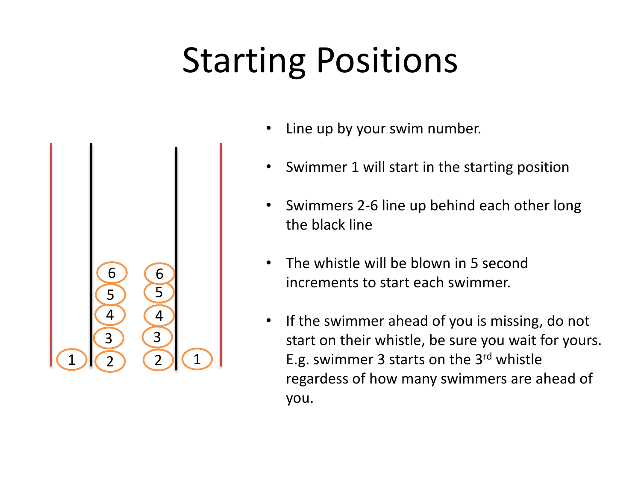## Starting Positions



- Line up by your swim number.
- Swimmer 1 will start in the starting position
- Swimmers 2-6 line up behind each other long the black line
- The whistle will be blown in 5 second increments to start each swimmer.
- If the swimmer ahead of you is missing, do not start on their whistle, be sure you wait for yours. E.g. swimmer 3 starts on the 3rd whistle regardess of how many swimmers are ahead of you.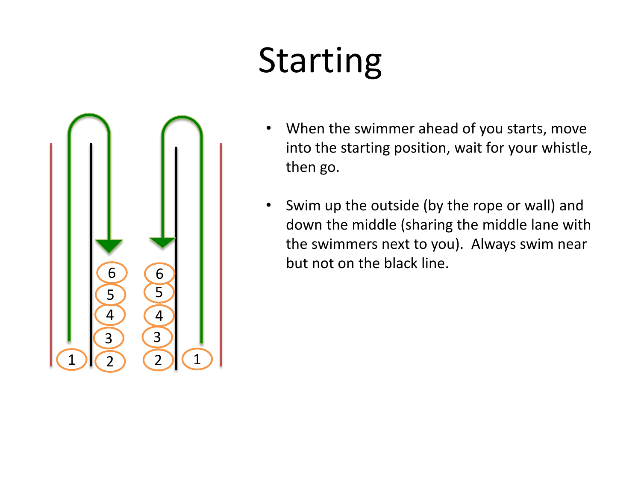## Starting



- When the swimmer ahead of you starts, move into the starting position, wait for your whistle, then go.
- Swim up the outside (by the rope or wall) and down the middle (sharing the middle lane with the swimmers next to you). Always swim near but not on the black line.